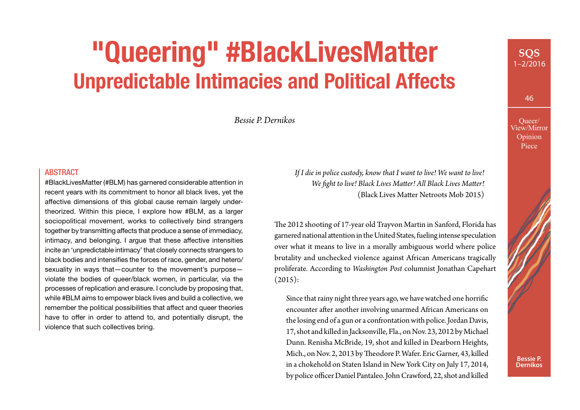# **"Queering" #BlackLivesMatter Unpredictable Intimacies and Political Affects**

*Bessie P. Dernikos*

#### ABSTRACT

#BlackLivesMatter (#BLM) has garnered considerable attention in recent years with its commitment to honor all black lives, yet the affective dimensions of this global cause remain largely undertheorized. Within this piece, I explore how #BLM, as a larger sociopolitical movement, works to collectively bind strangers together by transmitting affects that produce a sense of immediacy, intimacy, and belonging. I argue that these affective intensities incite an 'unpredictable intimacy' that closely connects strangers to black bodies and intensifies the forces of race, gender, and hetero/ sexuality in ways that—counter to the movement's purpose violate the bodies of queer/black women, in particular, via the processes of replication and erasure. I conclude by proposing that, while #BLM aims to empower black lives and build a collective, we remember the political possibilities that affect and queer theories have to offer in order to attend to, and potentially disrupt, the violence that such collectives bring.

*If I die in police custody, know that I want to live! We want to live! We fght to live! Black Lives Mater! All Black Lives Mater!* (Black Lives Mater Netroots Mob 2015)

The 2012 shooting of 17-year old Trayvon Martin in Sanford, Florida has garnered national atention in the United States, fueling intense speculation over what it means to live in a morally ambiguous world where police brutality and unchecked violence against African Americans tragically proliferate. According to *Washington Post* columnist Jonathan Capehart  $(2015):$ 

Since that rainy night three years ago, we have watched one horrifc encounter after another involving unarmed African Americans on the losing end of a gun or a confrontation with police. Jordan Davis, 17, shot and killed in Jacksonville, Fla., on Nov. 23, 2012 by Michael Dunn. Renisha McBride, 19, shot and killed in Dearborn Heights, Mich., on Nov. 2, 2013 by Theodore P. Wafer. Eric Garner, 43, killed in a chokehold on Staten Island in New York City on July 17, 2014, by police officer Daniel Pantaleo. John Crawford, 22, shot and killed

**SQS** 1–2/2016

46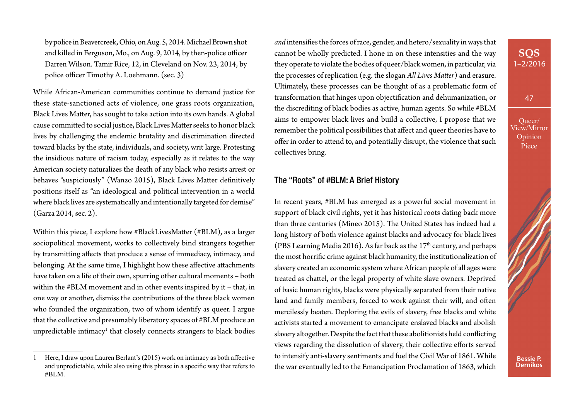by police in Beavercreek, Ohio, on Aug. 5, 2014. Michael Brown shot and killed in Ferguson, Mo., on Aug. 9, 2014, by then-police officer Darren Wilson. Tamir Rice, 12, in Cleveland on Nov. 23, 2014, by police officer Timothy A. Loehmann. (sec. 3)

While African-American communities continue to demand justice for these state-sanctioned acts of violence, one grass roots organization, Black Lives Mater, has sought to take action into its own hands. A global cause commited to social justice, Black Lives Mater seeks to honor black lives by challenging the endemic brutality and discrimination directed toward blacks by the state, individuals, and society, writ large. Protesting the insidious nature of racism today, especially as it relates to the way American society naturalizes the death of any black who resists arrest or behaves "suspiciously" (Wanzo 2015), Black Lives Mater defnitively positions itself as "an ideological and political intervention in a world where black lives are systematically and intentionally targeted for demise" (Garza 2014, sec. 2).

Within this piece, I explore how #BlackLivesMater (#BLM), as a larger sociopolitical movement, works to collectively bind strangers together by transmiting afects that produce a sense of immediacy, intimacy, and belonging. At the same time, I highlight how these afective atachments have taken on a life of their own, spurring other cultural moments – both within the #BLM movement and in other events inspired by it – that, in one way or another, dismiss the contributions of the three black women who founded the organization, two of whom identify as queer. I argue that the collective and presumably liberatory spaces of #BLM produce an unpredictable intimacy<sup>1</sup> that closely connects strangers to black bodies *and* intensifes the forces of race, gender, and hetero/sexuality in ways that cannot be wholly predicted. I hone in on these intensities and the way they operate to violate the bodies of queer/black women, in particular, via the processes of replication (e.g. the slogan *All Lives Mater*) and erasure. Ultimately, these processes can be thought of as a problematic form of transformation that hinges upon objectifcation and dehumanization, or the discrediting of black bodies as active, human agents. So while #BLM aims to empower black lives and build a collective, I propose that we remember the political possibilities that afect and queer theories have to ofer in order to atend to, and potentially disrupt, the violence that such collectives bring.

#### The "Roots" of #BLM: A Brief History

In recent years, #BLM has emerged as a powerful social movement in support of black civil rights, yet it has historical roots dating back more than three centuries (Mineo 2015). The United States has indeed had a long history of both violence against blacks and advocacy for black lives (PBS Learning Media 2016). As far back as the  $17<sup>th</sup>$  century, and perhaps the most horrifc crime against black humanity, the institutionalization of slavery created an economic system where African people of all ages were treated as chatel, or the legal property of white slave owners. Deprived of basic human rights, blacks were physically separated from their native land and family members, forced to work against their will, and ofen mercilessly beaten. Deploring the evils of slavery, free blacks and white activists started a movement to emancipate enslaved blacks and abolish slavery altogether. Despite the fact that these abolitionists held conficting views regarding the dissolution of slavery, their collective efforts served to intensify anti-slavery sentiments and fuel the Civil War of 1861. While the war eventually led to the Emancipation Proclamation of 1863, which

### **SQS** 1–2/2016

47



<sup>1</sup> Here, I draw upon Lauren Berlant's (2015) work on intimacy as both affective and unpredictable, while also using this phrase in a specifc way that refers to #BLM.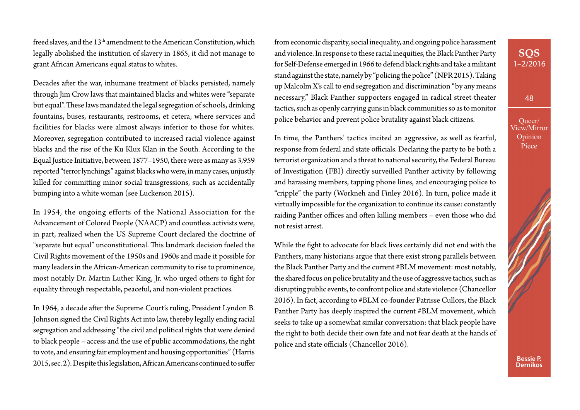freed slaves, and the 13<sup>th</sup> amendment to the American Constitution, which legally abolished the institution of slavery in 1865, it did not manage to grant African Americans equal status to whites.

Decades after the war, inhumane treatment of blacks persisted, namely through Jim Crow laws that maintained blacks and whites were "separate but equal". These laws mandated the legal segregation of schools, drinking fountains, buses, restaurants, restrooms, et cetera, where services and facilities for blacks were almost always inferior to those for whites. Moreover, segregation contributed to increased racial violence against blacks and the rise of the Ku Klux Klan in the South. According to the Equal Justice Initiative, between 1877–1950, there were as many as 3,959 reported "terror lynchings" against blacks who were, in many cases, unjustly killed for commiting minor social transgressions, such as accidentally bumping into a white woman (see Luckerson 2015).

In 1954, the ongoing efforts of the National Association for the Advancement of Colored People (NAACP) and countless activists were, in part, realized when the US Supreme Court declared the doctrine of "separate but equal" unconstitutional. This landmark decision fueled the Civil Rights movement of the 1950s and 1960s and made it possible for many leaders in the African-American community to rise to prominence, most notably Dr. Martin Luther King, Jr. who urged others to fght for equality through respectable, peaceful, and non-violent practices.

In 1964, a decade after the Supreme Court's ruling, President Lyndon B. Johnson signed the Civil Rights Act into law, thereby legally ending racial segregation and addressing "the civil and political rights that were denied to black people – access and the use of public accommodations, the right to vote, and ensuring fair employment and housing opportunities" (Harris 2015, sec. 2). Despite this legislation, African Americans continued to sufer

from economic disparity, social inequality, and ongoing police harassment and violence. In response to these racial inequities, the Black Panther Party for Self-Defense emerged in 1966 to defend black rights and take a militant stand against the state, namely by "policing the police" (NPR 2015). Taking up Malcolm X's call to end segregation and discrimination "by any means necessary," Black Panther supporters engaged in radical street-theater tactics, such as openly carrying guns in black communities so as to monitor police behavior and prevent police brutality against black citizens.

In time, the Panthers' tactics incited an aggressive, as well as fearful, response from federal and state officials. Declaring the party to be both a terrorist organization and a threat to national security, the Federal Bureau of Investigation (FBI) directly surveilled Panther activity by following and harassing members, tapping phone lines, and encouraging police to "cripple" the party (Workneh and Finley 2016). In turn, police made it virtually impossible for the organization to continue its cause: constantly raiding Panther offices and often killing members - even those who did not resist arrest.

While the fght to advocate for black lives certainly did not end with the Panthers, many historians argue that there exist strong parallels between the Black Panther Party and the current #BLM movement: most notably, the shared focus on police brutality and the use of aggressive tactics, such as disrupting public events, to confront police and state violence (Chancellor 2016). In fact, according to #BLM co-founder Patrisse Cullors, the Black Panther Party has deeply inspired the current #BLM movement, which seeks to take up a somewhat similar conversation: that black people have the right to both decide their own fate and not fear death at the hands of police and state officials (Chancellor 2016).

# **SQS** 1–2/2016

48

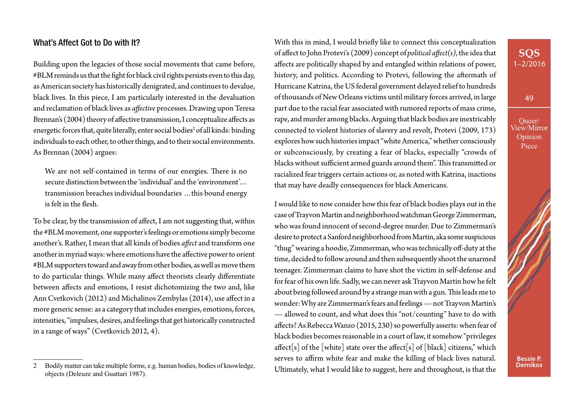#### What's Affect Got to Do with It?

Building upon the legacies of those social movements that came before, #BLM reminds us that the fght for black civil rights persists even to this day, as American society has historically denigrated, and continues to devalue, black lives. In this piece, I am particularly interested in the devaluation and reclamation of black lives as *afective* processes. Drawing upon Teresa Brennan's (2004) theory of affective transmission, I conceptualize affects as energetic forces that, quite literally, enter social bodies<sup>2</sup> of all kinds: binding individuals to each other, to other things, and to their social environments. As Brennan (2004) argues:

We are not self-contained in terms of our energies. There is no secure distinction between the 'individual' and the 'environment'… transmission breaches individual boundaries …this bound energy is felt in the fesh.

To be clear, by the transmission of afect, I am not suggesting that, within the #BLM movement, one supporter's feelings or emotions simply become another's. Rather, I mean that all kinds of bodies *afect* and transform one another in myriad ways: where emotions have the afective power to orient #BLM supporters toward and away from other bodies, as well as move them to do particular things. While many afect theorists clearly diferentiate between afects and emotions, I resist dichotomizing the two and, like Ann Cvetkovich (2012) and Michalinos Zembylas (2014), use afect in a more generic sense: as a category that includes energies, emotions, forces, intensities, "impulses, desires, and feelings that get historically constructed in a range of ways" (Cvetkovich 2012, 4).

With this in mind, I would briefy like to connect this conceptualization of afect to John Protevi's (2009) concept of *political afect(s)*, the idea that afects are politically shaped by and entangled within relations of power, history, and politics. According to Protevi, following the afermath of Hurricane Katrina, the US federal government delayed relief to hundreds of thousands of New Orleans victims until military forces arrived, in large part due to the racial fear associated with rumored reports of mass crime, rape, and murder among blacks. Arguing that black bodies are inextricably connected to violent histories of slavery and revolt, Protevi (2009, 173) explores how such histories impact "white America," whether consciously or subconsciously, by creating a fear of blacks, especially "crowds of blacks without sufficient armed guards around them". This transmitted or racialized fear triggers certain actions or, as noted with Katrina, inactions that may have deadly consequences for black Americans.

I would like to now consider how this fear of black bodies plays out in the case of Trayvon Martin and neighborhood watchman George Zimmerman, who was found innocent of second-degree murder. Due to Zimmerman's desire to protect a Sanford neighborhood from Martin, aka some suspicious "thug" wearing a hoodie, Zimmerman, who was technically of-duty at the time, decided to follow around and then subsequently shoot the unarmed teenager. Zimmerman claims to have shot the victim in self-defense and for fear of his own life. Sadly, we can never ask Trayvon Martin how he felt about being followed around by a strange man with a gun. This leads me to wonder: Why are Zimmerman's fears and feelings — not Trayvon Martin's — allowed to count, and what does this "not/counting" have to do with afects? As Rebecca Wanzo (2015, 230) so powerfully asserts: when fear of black bodies becomes reasonable in a court of law, it somehow "privileges affect[s] of the [white] state over the affect[s] of [black] citizens," which serves to affirm white fear and make the killing of black lives natural. Ultimately, what I would like to suggest, here and throughout, is that the

# **SQS** 1–2/2016

49



<sup>2</sup> Bodily matter can take multiple forms, e.g. human bodies, bodies of knowledge, objects (Deleuze and Guattari 1987).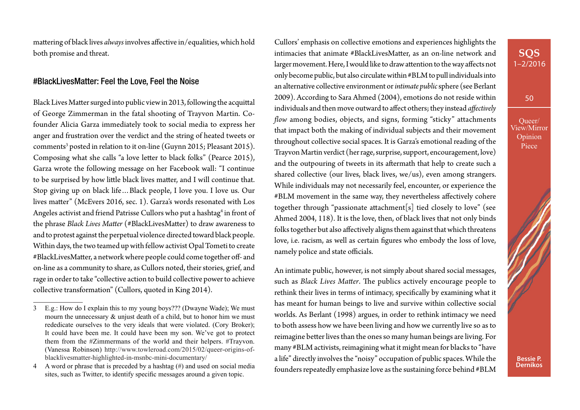matering of black lives *always* involves afective in/equalities, which hold both promise and threat.

#### #BlackLivesMatter: Feel the Love, Feel the Noise

Black Lives Mater surged into public view in 2013, following the acquital of George Zimmerman in the fatal shooting of Trayvon Martin. Cofounder Alicia Garza immediately took to social media to express her anger and frustration over the verdict and the string of heated tweets or comments<sup>3</sup> posted in relation to it on-line (Guynn 2015; Pleasant 2015). Composing what she calls "a love leter to black folks" (Pearce 2015), Garza wrote the following message on her Facebook wall: "I continue to be surprised by how litle black lives mater, and I will continue that. Stop giving up on black life…Black people, I love you. I love us. Our lives mater" (McEvers 2016, sec. 1). Garza's words resonated with Los Angeles activist and friend Patrisse Cullors who put a hashtag<sup>4</sup> in front of the phrase *Black Lives Mater* (#BlackLivesMater) to draw awareness to and to protest against the perpetual violence directed toward black people. Within days, the two teamed up with fellow activist Opal Tometi to create #BlackLivesMatter, a network where people could come together off- and on-line as a community to share, as Cullors noted, their stories, grief, and rage in order to take "collective action to build collective power to achieve collective transformation" (Cullors, quoted in King 2014).

Cullors' emphasis on collective emotions and experiences highlights the intimacies that animate #BlackLivesMater, as an on-line network and larger movement. Here, I would like to draw atention to the way afects not only become public, but also circulate within #BLM to pull individuals into an alternative collective environment or *intimate public* sphere (see Berlant 2009). According to Sara Ahmed (2004), emotions do not reside within individuals and then move outward to afect others; they instead *afectively flow* among bodies, objects, and signs, forming "sticky" attachments that impact both the making of individual subjects and their movement throughout collective social spaces. It is Garza's emotional reading of the Trayvon Martin verdict (her rage, surprise, support, encouragement, love) and the outpouring of tweets in its afermath that help to create such a shared collective (our lives, black lives, we/us), even among strangers. While individuals may not necessarily feel, encounter, or experience the #BLM movement in the same way, they nevertheless afectively cohere together through "passionate atachment[s] tied closely to love" (see Ahmed 2004, 118). It is the love, then, of black lives that not only binds folks together but also afectively aligns them against that which threatens love, i.e. racism, as well as certain fgures who embody the loss of love, namely police and state officials.

An intimate public, however, is not simply about shared social messages, such as *Black Lives Matter*. The publics actively encourage people to rethink their lives in terms of intimacy, specifcally by examining what it has meant for human beings to live and survive within collective social worlds. As Berlant (1998) argues, in order to rethink intimacy we need to both assess how we have been living and how we currently live so as to reimagine beter lives than the ones so many human beings are living. For many #BLM activists, reimagining what it might mean for blacks to "have a life" directly involves the "noisy" occupation of public spaces. While the founders repeatedly emphasize love as the sustaining force behind #BLM

## **SQS** 1–2/2016

50



<sup>3</sup> E.g.: How do I explain this to my young boys??? (Dwayne Wade); We must mourn the unnecessary & unjust death of a child, but to honor him we must rededicate ourselves to the very ideals that were violated. (Cory Broker); It could have been me. It could have been my son. We've got to protect them from the #Zimmermans of the world and their helpers. #Trayvon. (Vanessa Robinson) [http://www.towleroad.com/2015/02/queer-origins-of](http://www.towleroad.com/2015/02/queer-origins-of-blacklivesmatter-highlighted-in-msnbc-mini-documentary/)[blacklivesmatter-highlighted-in-msnbc-mini-documentary/](http://www.towleroad.com/2015/02/queer-origins-of-blacklivesmatter-highlighted-in-msnbc-mini-documentary/)

<sup>4</sup> A word or phrase that is preceded by a hashtag (#) and used on social media sites, such as Twitter, to identify specifc messages around a given topic.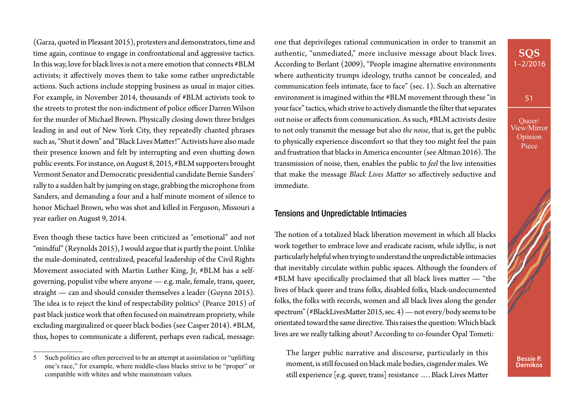(Garza, quoted in Pleasant 2015), protesters and demonstrators, time and time again, continue to engage in confrontational and aggressive tactics. In this way, love for black lives is not a mere emotion that connects #BLM activists; it afectively moves them to take some rather unpredictable actions. Such actions include stopping business as usual in major cities. For example, in November 2014, thousands of #BLM activists took to the streets to protest the non-indictment of police officer Darren Wilson for the murder of Michael Brown. Physically closing down three bridges leading in and out of New York City, they repeatedly chanted phrases such as, "Shut it down" and "Black Lives Mater!" Activists have also made their presence known and felt by interrupting and even shuting down public events. For instance, on August 8, 2015, #BLM supporters brought Vermont Senator and Democratic presidential candidate Bernie Sanders' rally to a sudden halt by jumping on stage, grabbing the microphone from Sanders, and demanding a four and a half minute moment of silence to honor Michael Brown, who was shot and killed in Ferguson, Missouri a year earlier on August 9, 2014.

Even though these tactics have been criticized as "emotional" and not "mindful" (Reynolds 2015), I would argue that is partly the point. Unlike the male-dominated, centralized, peaceful leadership of the Civil Rights Movement associated with Martin Luther King, Jr, #BLM has a selfgoverning, populist vibe where anyone — e.g. male, female, trans, queer, straight — can and should consider themselves a leader (Guynn 2015). The idea is to reject the kind of respectability politics $^{\rm 5}$  (Pearce 2015) of past black justice work that ofen focused on mainstream propriety, while excluding marginalized or queer black bodies (see Casper 2014). #BLM, thus, hopes to communicate a diferent, perhaps even radical, message:

one that deprivileges rational communication in order to transmit an authentic, "unmediated," more inclusive message about black lives. According to Berlant (2009), "People imagine alternative environments where authenticity trumps ideology, truths cannot be concealed, and communication feels intimate, face to face" (sec. 1). Such an alternative environment is imagined within the #BLM movement through these "in your face" tactics, which strive to actively dismantle the flter that separates out noise or afects from communication. As such, #BLM activists desire to not only transmit the message but also *the noise*, that is, get the public to physically experience discomfort so that they too might feel the pain and frustration that blacks in America encounter (see Altman 2016). The transmission of noise, then, enables the public to *feel* the live intensities that make the message *Black Lives Mater* so afectively seductive and immediate.

#### Tensions and Unpredictable Intimacies

The notion of a totalized black liberation movement in which all blacks work together to embrace love and eradicate racism, while idyllic, is not particularly helpful when trying to understand the unpredictable intimacies that inevitably circulate within public spaces. Although the founders of #BLM have specifcally proclaimed that all black lives mater — "the lives of black queer and trans folks, disabled folks, black-undocumented folks, the folks with records, women and all black lives along the gender spectrum" (#BlackLivesMater 2015, sec. 4) — not every/body seems to be orientated toward the same directive. This raises the question: Which black lives are we really talking about? According to co-founder Opal Tometi:

The larger public narrative and discourse, particularly in this moment, is still focused on black male bodies, cisgender males. We still experience [e.g. queer, trans] resistance …. Black Lives Mater

## **SQS** 1–2/2016

51



<sup>5</sup> Such politics are often perceived to be an attempt at assimilation or "uplifting one's race," for example, where middle-class blacks strive to be "proper" or compatible with whites and white mainstream values.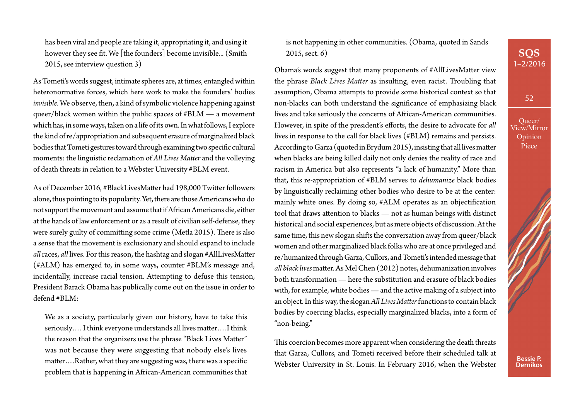has been viral and people are taking it, appropriating it, and using it however they see ft. We [the founders] become invisible... (Smith 2015, see interview question 3)

As Tometi's words suggest, intimate spheres are, at times, entangled within heteronormative forces, which here work to make the founders' bodies *invisible*. We observe, then, a kind of symbolic violence happening against queer/black women within the public spaces of #BLM — a movement which has, in some ways, taken on a life of its own. In what follows, I explore the kind of re/appropriation and subsequent erasure of marginalized black bodies that Tometi gestures toward through examining two specifc cultural moments: the linguistic reclamation of *All Lives Mater* and the volleying of death threats in relation to a Webster University #BLM event.

As of December 2016, #BlackLivesMater had 198,000 Twiter followers alone, thus pointing to its popularity. Yet, there are those Americans who do not support the movement and assume that if African Americans die, either at the hands of law enforcement or as a result of civilian self-defense, they were surely guilty of committing some crime (Metla 2015). There is also a sense that the movement is exclusionary and should expand to include *all* races, *all* lives. For this reason, the hashtag and slogan #AllLivesMater (#ALM) has emerged to, in some ways, counter #BLM's message and, incidentally, increase racial tension. Atempting to defuse this tension, President Barack Obama has publically come out on the issue in order to defend #BLM:

We as a society, particularly given our history, have to take this seriously.... I think everyone understands all lives matter.... I think the reason that the organizers use the phrase "Black Lives Mater" was not because they were suggesting that nobody else's lives matter....Rather, what they are suggesting was, there was a specific problem that is happening in African-American communities that

is not happening in other communities. (Obama, quoted in Sands 2015, sect. 6)

Obama's words suggest that many proponents of #AllLivesMater view the phrase *Black Lives Mater* as insulting, even racist. Troubling that assumption, Obama atempts to provide some historical context so that non-blacks can both understand the signifcance of emphasizing black lives and take seriously the concerns of African-American communities. However, in spite of the president's efforts, the desire to advocate for *all* lives in response to the call for black lives (#BLM) remains and persists. According to Garza (quoted in Brydum 2015), insisting that alllives mater when blacks are being killed daily not only denies the reality of race and racism in America but also represents "a lack of humanity." More than that, this re-appropriation of #BLM serves to *dehumanize* black bodies by linguistically reclaiming other bodies who desire to be at the center: mainly white ones. By doing so, #ALM operates as an objectifcation tool that draws atention to blacks — not as human beings with distinct historical and social experiences, but as mere objects of discussion. At the same time, this new slogan shifs the conversation away from queer/black women and other marginalized black folks who are at once privileged and re/humanized through Garza, Cullors, and Tometi's intended message that *all black lives* mater. As Mel Chen (2012) notes, dehumanization involves both transformation — here the substitution and erasure of black bodies with, for example, white bodies — and the active making of a subject into an object. In this way, the slogan *All Lives Mater* functions to contain black bodies by coercing blacks, especially marginalized blacks, into a form of "non-being."

This coercion becomes more apparent when considering the death threats that Garza, Cullors, and Tometi received before their scheduled talk at Webster University in St. Louis. In February 2016, when the Webster 52

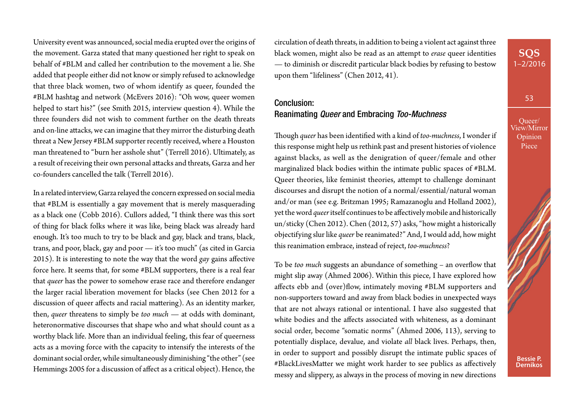University event was announced, social media erupted over the origins of the movement. Garza stated that many questioned her right to speak on behalf of #BLM and called her contribution to the movement a lie. She added that people either did not know or simply refused to acknowledge that three black women, two of whom identify as queer, founded the #BLM hashtag and network (McEvers 2016): "Oh wow, queer women helped to start his?" (see Smith 2015, interview question 4). While the three founders did not wish to comment further on the death threats and on-line atacks, we can imagine that they mirror the disturbing death threat a New Jersey #BLM supporter recently received, where a Houston man threatened to "burn her asshole shut" (Terrell 2016). Ultimately, as a result of receiving their own personal atacks and threats, Garza and her co-founders cancelled the talk (Terrell 2016).

In a related interview, Garza relayed the concern expressed on social media that #BLM is essentially a gay movement that is merely masquerading as a black one (Cobb 2016). Cullors added, "I think there was this sort of thing for black folks where it was like, being black was already hard enough. It's too much to try to be black and gay, black and trans, black, trans, and poor, black, gay and poor — it's too much" (as cited in Garcia 2015). It is interesting to note the way that the word *gay* gains afective force here. It seems that, for some #BLM supporters, there is a real fear that *queer* has the power to somehow erase race and therefore endanger the larger racial liberation movement for blacks (see Chen 2012 for a discussion of queer affects and racial mattering). As an identity marker, then, *queer* threatens to simply be *too much* — at odds with dominant, heteronormative discourses that shape who and what should count as a worthy black life. More than an individual feeling, this fear of queerness acts as a moving force with the capacity to intensify the interests of the dominant social order, while simultaneously diminishing "the other" (see Hemmings 2005 for a discussion of afect as a critical object). Hence, the

circulation of death threats, in addition to being a violent act against three black women, might also be read as an atempt to *erase* queer identities — to diminish or discredit particular black bodies by refusing to bestow upon them "lifeliness" (Chen 2012, 41).

## Conclusion: Reanimating *Queer* and Embracing *Too-Muchness*

Tough *queer* has been identifed with a kind of *too-muchness*, I wonder if this response might help us rethink past and present histories of violence against blacks, as well as the denigration of queer/female and other marginalized black bodies within the intimate public spaces of #BLM. Queer theories, like feminist theories, atempt to challenge dominant discourses and disrupt the notion of a normal/essential/natural woman and/or man (see e.g. Britzman 1995; Ramazanoglu and Holland 2002), yet the word *queer* itself continues to be afectively mobile and historically un/sticky (Chen 2012). Chen (2012, 57) asks, "how might a historically objectifying slur like *queer* be reanimated?" And, I would add, how might this reanimation embrace, instead of reject, *too-muchness*?

To be *too much* suggests an abundance of something – an overfow that might slip away (Ahmed 2006). Within this piece, I have explored how affects ebb and (over)flow, intimately moving #BLM supporters and non-supporters toward and away from black bodies in unexpected ways that are not always rational or intentional. I have also suggested that white bodies and the afects associated with whiteness, as a dominant social order, become "somatic norms" (Ahmed 2006, 113), serving to potentially displace, devalue, and violate *all* black lives. Perhaps, then, in order to support and possibly disrupt the intimate public spaces of #BlackLivesMater we might work harder to see publics as afectively messy and slippery, as always in the process of moving in new directions

53

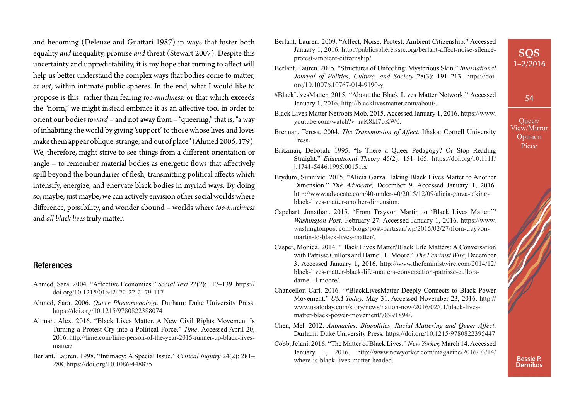and becoming (Deleuze and Guatari 1987) in ways that foster both equality *and* inequality, promise *and* threat (Stewart 2007). Despite this uncertainty and unpredictability, it is my hope that turning to afect will help us better understand the complex ways that bodies come to matter, *or not*, within intimate public spheres. In the end, what I would like to propose is this: rather than fearing *too-muchness*, or that which exceeds the "norm," we might instead embrace it as an afective tool in order to orient our bodies *toward* – and not away from – "queering," that is, "a way of inhabiting the world by giving 'support' to those whose lives and loves make them appear oblique, strange, and out of place" (Ahmed 2006, 179). We, therefore, might strive to see things from a diferent orientation or angle – to remember material bodies as energetic flows that affectively spill beyond the boundaries of fesh, transmiting political afects which intensify, energize, and enervate black bodies in myriad ways. By doing so, maybe, just maybe, we can actively envision other social worlds where diference, possibility, and wonder abound – worlds where *too-muchness* and *all black lives* truly mater.

#### References

- Ahmed, Sara. 2004. "Affective Economies." *Social Text* 22(2): 117–139. [https://](https://doi.org/10.1215/01642472-22-2_79-117) [doi.org/10.1215/01642472-22-2\\_79-117](https://doi.org/10.1215/01642472-22-2_79-117)
- Ahmed, Sara. 2006. *Queer Phenomenology.* Durham: Duke University Press. <https://doi.org/10.1215/9780822388074>
- Altman, Alex. 2016. "Black Lives Matter. A New Civil Rights Movement Is Turning a Protest Cry into a Political Force." *Time*. Accessed April 20, 2016. [http://time.com/time-person-of-the-year-2015-runner-up-black-lives](http://time.com/time-person-of-the-year-2015-runner-up-black-lives-matter/)[matter/.](http://time.com/time-person-of-the-year-2015-runner-up-black-lives-matter/)
- Berlant, Lauren. 1998. "Intimacy: A Special Issue." *Critical Inquiry* 24(2): 281– 288. <https://doi.org/10.1086/448875>
- Berlant, Lauren. 2009. "Affect, Noise, Protest: Ambient Citizenship." Accessed January 1, 2016. [http://publicsphere.ssrc.org/berlant-affect-noise-silence](http://publicsphere.ssrc.org/berlant-affect-noise-silence-protest-ambient-citizenship)[protest-ambient-citizenship](http://publicsphere.ssrc.org/berlant-affect-noise-silence-protest-ambient-citizenship)/.
- Berlant, Lauren. 2015. "Structures of Unfeeling: Mysterious Skin." *International Journal of Politics, Culture, and Society* 28(3): 191–213. [https://doi.](https://doi.org/10.1007/s10767-014-9190-y) [org/10.1007/s10767-014-9190-y](https://doi.org/10.1007/s10767-014-9190-y)
- #BlackLivesMatter. 2015. "About the Black Lives Matter Network." Accessed January 1, 2016.<http://blacklivesmatter.com/about/>.
- Black Lives Matter Netroots Mob. 2015. Accessed January 1, 2016. [https://www.](https://www.youtube.com/watch?v=raK8kI7oKW0) [youtube.com/watch?v=raK8kI7oKW0](https://www.youtube.com/watch?v=raK8kI7oKW0).
- Brennan, Teresa. 2004. *The Transmission of Affect*. Ithaka: Cornell University Press.
- Britzman, Deborah. 1995. "Is There a Queer Pedagogy? Or Stop Reading Straight." *Educational Theory* 45(2): 151–165. [https://doi.org/10.1111/](https://doi.org/10.1111/j.1741-5446.1995.00151.x) [j.1741-5446.1995.00151.x](https://doi.org/10.1111/j.1741-5446.1995.00151.x)
- Brydum, Sunnivie. 2015. "Alicia Garza. Taking Black Lives Matter to Another Dimension." *The Advocate,* December 9. Accessed January 1, 2016. [http://www.advocate.com/40-under-40/2015/12/09/alicia-garza-taking](http://www.advocate.com/40-under-40/2015/12/09/alicia-garza-taking-black-lives-matter-another-dimension)[black-lives-matter-another-dimension](http://www.advocate.com/40-under-40/2015/12/09/alicia-garza-taking-black-lives-matter-another-dimension).
- Capehart, Jonathan. 2015. "From Trayvon Martin to 'Black Lives Matter.'" *Washington Post,* February 27. Accessed January 1, 2016. [https://www.](https://www.washingtonpost.com/blogs/post-partisan/wp/2015/02/27/from-trayvon-martin-to-black-lives-matter/) [washingtonpost.com/blogs/post-partisan/wp/2015/02/27/from-trayvon](https://www.washingtonpost.com/blogs/post-partisan/wp/2015/02/27/from-trayvon-martin-to-black-lives-matter/)[martin-to-black-lives-matter/.](https://www.washingtonpost.com/blogs/post-partisan/wp/2015/02/27/from-trayvon-martin-to-black-lives-matter/)
- Casper, Monica. 2014. "Black Lives Matter/Black Life Matters: A Conversation with Patrisse Cullors and Darnell L. Moore." *The Feminist Wire*, December 3. Accessed January 1, 2016. [http://www.thefeministwire.com/2014/12/](http://www.thefeministwire.com/2014/12/black-lives-matter-black-life-matters-conversation-patrisse-cullors-darnell-l-moore/) [black-lives-matter-black-life-matters-conversation-patrisse-cullors](http://www.thefeministwire.com/2014/12/black-lives-matter-black-life-matters-conversation-patrisse-cullors-darnell-l-moore/)[darnell-l-moore/](http://www.thefeministwire.com/2014/12/black-lives-matter-black-life-matters-conversation-patrisse-cullors-darnell-l-moore/).
- Chancellor, Carl. 2016. "#BlackLivesMatter Deeply Connects to Black Power Movement." *USA Today,* May 31. Accessed November 23, 2016. [http://](http://www.usatoday.com/story/news/nation-now/2016/02/01/black-lives-matter-black-power-movement/78991894/) [www.usatoday.com/story/news/nation-now/2016/02/01/black-lives](http://www.usatoday.com/story/news/nation-now/2016/02/01/black-lives-matter-black-power-movement/78991894/)[matter-black-power-movement/78991894/](http://www.usatoday.com/story/news/nation-now/2016/02/01/black-lives-matter-black-power-movement/78991894/).
- Chen, Mel. 2012. *Animacies: Biopolitics, Racial Mattering and Queer Affect*. Durham: Duke University Press. <https://doi.org/10.1215/9780822395447>
- Cobb, Jelani. 2016. "The Matter of Black Lives." *New Yorker,* March 14. Accessed January 1, 2016. [http://www.newyorker.com/magazine/2016/03/14/](http://www.newyorker.com/magazine/2016/03/14/where-is-black-lives-matter-headed) [where-is-black-lives-matter-headed.](http://www.newyorker.com/magazine/2016/03/14/where-is-black-lives-matter-headed)

Queer/ View/Mirror **Opinion** Piece

> **Bessie P. Dernikos**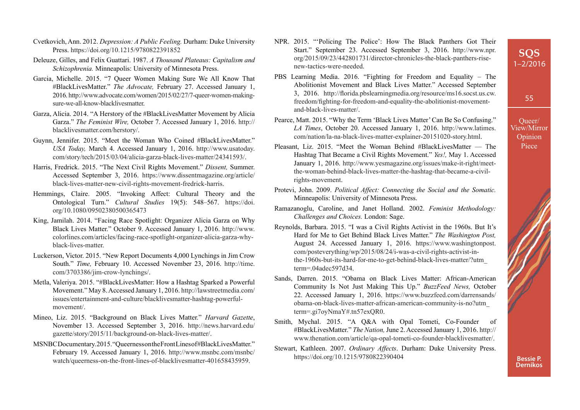55

Queer/ View/Mirror **Opinion** Piece

- Cvetkovich, Ann. 2012. *Depression: A Public Feeling.* Durham: Duke University Press. <https://doi.org/10.1215/9780822391852>
- Deleuze, Gilles, and Felix Guattari. 1987. *A Thousand Plateaus: Capitalism and Schizophrenia.* Minneapolis: University of Minnesota Press.
- Garcia, Michelle. 2015. "7 Queer Women Making Sure We All Know That #BlackLivesMatter." *The Advocate,* February 27. Accessed January 1, 2016. [http://www.advocate.com/women/2015/02/27/7-queer-women-making](http://www.advocate.com/women/2015/02/27/7-queer-women-making-sure-we-all-know-blacklivesmatter)[sure-we-all-know-blacklivesmatter.](http://www.advocate.com/women/2015/02/27/7-queer-women-making-sure-we-all-know-blacklivesmatter)
- Garza, Alicia. 2014. "A Herstory of the #BlackLivesMatter Movement by Alicia Garza." *The Feminist Wire,* October 7. Accessed January 1, 2016. [http://](http://blacklivesmatter.com/herstory/) [blacklivesmatter.com/herstory/](http://blacklivesmatter.com/herstory/).
- Guynn, Jennifer. 2015. "Meet the Woman Who Coined #BlackLivesMatter." *USA Today,* March 4. Accessed January 1, 2016. [http://www.usatoday.](http://www.usatoday.com/story/tech/2015/03/04/alicia-garza-black-lives-matter/24341593/) [com/story/tech/2015/03/04/alicia-garza-black-lives-matter/24341593/](http://www.usatoday.com/story/tech/2015/03/04/alicia-garza-black-lives-matter/24341593/).
- Harris, Fredrick. 2015. "The Next Civil Rights Movement." *Dissent,* Summer. Accessed September 3, 2016. [https://www.dissentmagazine.org/article/](https://www.dissentmagazine.org/article/black-lives-matter-new-civil-rights-movement-fredrick-harris) [black-lives-matter-new-civil-rights-movement-fredrick-harris.](https://www.dissentmagazine.org/article/black-lives-matter-new-civil-rights-movement-fredrick-harris)
- Hemmings, Claire. 2005. "Invoking Affect: Cultural Theory and the Ontological Turn." *Cultural Studies* 19(5): 548–567. [https://doi.](https://doi.org/10.1080/09502380500365473) [org/10.1080/09502380500365473](https://doi.org/10.1080/09502380500365473)
- King, Jamilah. 2014. "Facing Race Spotlight: Organizer Alicia Garza on Why Black Lives Matter." October 9. Accessed January 1, 2016. [http://www.](http://www.colorlines.com/articles/facing-race-spotlight-organizer-alicia-garza-why-black-lives-matter) [colorlines.com/articles/facing-race-spotlight-organizer-alicia-garza-why](http://www.colorlines.com/articles/facing-race-spotlight-organizer-alicia-garza-why-black-lives-matter)[black-lives-matter.](http://www.colorlines.com/articles/facing-race-spotlight-organizer-alicia-garza-why-black-lives-matter)
- Luckerson, Victor. 2015. "New Report Documents 4,000 Lynchings in Jim Crow South." *Time,* February 10. Accessed November 23, 2016. [http://time.](http://time.com/3703386/jim-crow-lynchings/) [com/3703386/jim-crow-lynchings/.](http://time.com/3703386/jim-crow-lynchings/)
- Metla, Valeriya. 2015. "#BlackLivesMatter: How a Hashtag Sparked a Powerful Movement." May 8. Accessed January 1, 2016. [http://lawstreetmedia.com/](http://lawstreetmedia.com/issues/entertainment-and-culture/blacklivesmatter-hashtag-powerful-movement/) [issues/entertainment-and-culture/blacklivesmatter-hashtag-powerful](http://lawstreetmedia.com/issues/entertainment-and-culture/blacklivesmatter-hashtag-powerful-movement/)[movement/.](http://lawstreetmedia.com/issues/entertainment-and-culture/blacklivesmatter-hashtag-powerful-movement/)
- Mineo, Liz. 2015. "Background on Black Lives Matter." *Harvard Gazette*, November 13. Accessed September 3, 2016. [http://news.harvard.edu/](http://news.harvard.edu/gazette/story/2015/11/background-on-black-lives-matter/) [gazette/story/2015/11/background-on-black-lives-matter/.](http://news.harvard.edu/gazette/story/2015/11/background-on-black-lives-matter/)
- MSNBC Documentary. 2015. "Queerness on the Front Lines of #BlackLivesMatter." February 19. Accessed January 1, 2016. [http://www.msnbc.com/msnbc/](http://www.msnbc.com/msnbc/watch/queerness-on-the-front-lines-of-blacklivesmatter-401658435959) [watch/queerness-on-the-front-lines-of-blacklivesmatter-401658435959.](http://www.msnbc.com/msnbc/watch/queerness-on-the-front-lines-of-blacklivesmatter-401658435959)
- NPR. 2015. "'Policing The Police': How The Black Panthers Got Their Start." September 23. Accessed September 3, 2016. [http://www.npr.](http://www.npr.org/2015/09/23/442801731/director-chronicles-the-black-panthers-rise-new-tactics-were-needed) [org/2015/09/23/442801731/director-chronicles-the-black-panthers-rise](http://www.npr.org/2015/09/23/442801731/director-chronicles-the-black-panthers-rise-new-tactics-were-needed)[new-tactics-were-needed.](http://www.npr.org/2015/09/23/442801731/director-chronicles-the-black-panthers-rise-new-tactics-were-needed)
- PBS Learning Media. 2016. "Fighting for Freedom and Equality The Abolitionist Movement and Black Lives Matter." Accessed September 3, 2016. [http://forida.pbslearningmedia.org/resource/ms16.socst.us.cw.](http://florida.pbslearningmedia.org/resource/ms16.socst.us.cw.freedom/fighting-for-freedom-and-equality-the-abolitionist-movement-and-black-lives-matter/) [freedom/fghting-for-freedom-and-equality-the-abolitionist-movement](http://florida.pbslearningmedia.org/resource/ms16.socst.us.cw.freedom/fighting-for-freedom-and-equality-the-abolitionist-movement-and-black-lives-matter/)[and-black-lives-matter/.](http://florida.pbslearningmedia.org/resource/ms16.socst.us.cw.freedom/fighting-for-freedom-and-equality-the-abolitionist-movement-and-black-lives-matter/)
- Pearce, Matt. 2015. "Why the Term 'Black Lives Matter' Can Be So Confusing." *LA Times*, October 20. Accessed January 1, 2016. [http://www.latimes.](http://www.latimes.com/nation/la-na-black-lives-matter-explainer-20151020-story.html) [com/nation/la-na-black-lives-matter-explainer-20151020-story.html](http://www.latimes.com/nation/la-na-black-lives-matter-explainer-20151020-story.html).
- Pleasant, Liz. 2015. "Meet the Woman Behind #BlackLivesMatter The Hashtag That Became a Civil Rights Movement." *Yes!,* May 1. Accessed January 1, 2016. [http://www.yesmagazine.org/issues/make-it-right/meet](http://www.yesmagazine.org/issues/make-it-right/meet-the-woman-behind-black-lives-matter-the-hashtag-that-became-a-civil-rights-movement)[the-woman-behind-black-lives-matter-the-hashtag-that-became-a-civil](http://www.yesmagazine.org/issues/make-it-right/meet-the-woman-behind-black-lives-matter-the-hashtag-that-became-a-civil-rights-movement)[rights-movement.](http://www.yesmagazine.org/issues/make-it-right/meet-the-woman-behind-black-lives-matter-the-hashtag-that-became-a-civil-rights-movement)
- Protevi, John. 2009. *Political Affect: Connecting the Social and the Somatic.*  Minneapolis: University of Minnesota Press.
- Ramazanoglu, Caroline, and Janet Holland. 2002. *Feminist Methodology: Challenges and Choices.* London: Sage.
- Reynolds, Barbara. 2015. "I was a Civil Rights Activist in the 1960s. But It's Hard for Me to Get Behind Black Lives Matter." *The Washington Post,*  August 24. Accessed January 1, 2016. [https://www.washingtonpost.](https://www.washingtonpost.com/posteverything/wp/2015/08/24/i-was-a-civil-rights-activist-in-the-1960s-but-its-hard-for-me-to-get-behind-black-lives-matter/?utm_term=.04adec597d34) [com/posteverything/wp/2015/08/24/i-was-a-civil-rights-activist-in](https://www.washingtonpost.com/posteverything/wp/2015/08/24/i-was-a-civil-rights-activist-in-the-1960s-but-its-hard-for-me-to-get-behind-black-lives-matter/?utm_term=.04adec597d34)[the-1960s-but-its-hard-for-me-to-get-behind-black-lives-matter/?utm\\_](https://www.washingtonpost.com/posteverything/wp/2015/08/24/i-was-a-civil-rights-activist-in-the-1960s-but-its-hard-for-me-to-get-behind-black-lives-matter/?utm_term=.04adec597d34) [term=.04adec597d34](https://www.washingtonpost.com/posteverything/wp/2015/08/24/i-was-a-civil-rights-activist-in-the-1960s-but-its-hard-for-me-to-get-behind-black-lives-matter/?utm_term=.04adec597d34).
- Sands, Darren. 2015. "Obama on Black Lives Matter: African-American Community Is Not Just Making This Up." *BuzzFeed News,* October 22. Accessed January 1, 2016. [https://www.buzzfeed.com/darrensands/](https://www.buzzfeed.com/darrensands/obama-on-black-lives-matter-african-american-community-is-no?utm_term=.gi7oyNmaY#.tn57exQR0) [obama-on-black-lives-matter-african-american-community-is-no?utm\\_](https://www.buzzfeed.com/darrensands/obama-on-black-lives-matter-african-american-community-is-no?utm_term=.gi7oyNmaY#.tn57exQR0) [term=.gi7oyNmaY#.tn57exQR0](https://www.buzzfeed.com/darrensands/obama-on-black-lives-matter-african-american-community-is-no?utm_term=.gi7oyNmaY#.tn57exQR0).
- Smith, Mychal. 2015. "A Q&A with Opal Tometi, Co-Founder of #BlackLivesMatter." *The Nation,* June 2. Accessed January 1, 2016. [http://](http://www.thenation.com/article/qa-opal-tometi-co-founder-blacklivesmatter/) [www.thenation.com/article/qa-opal-tometi-co-founder-blacklivesmatter/.](http://www.thenation.com/article/qa-opal-tometi-co-founder-blacklivesmatter/)
- Stewart, Kathleen. 2007. *Ordinary Affects*. Durham: Duke University Press. <https://doi.org/10.1215/9780822390404>

**Bessie P. Dernikos**